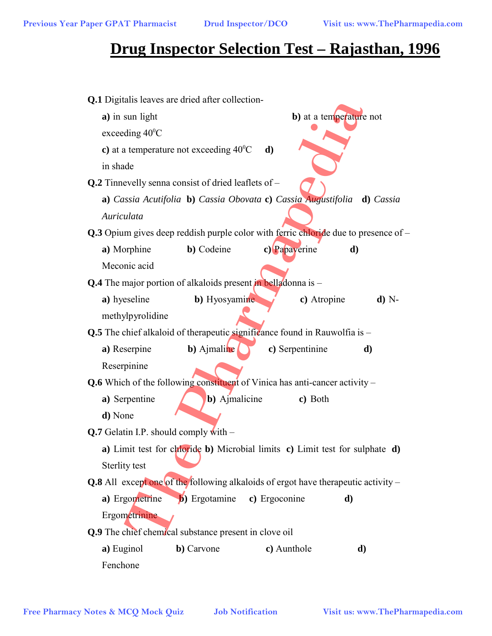## **Drug Inspector Selection Test – Rajasthan, 1996**

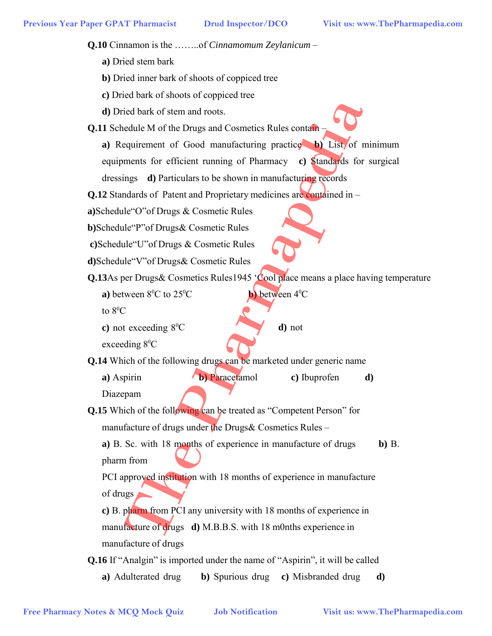**Q.10** Cinnamon is the ……..of *Cinnamomum Zeylanicum* – **a)** Dried stem bark **b)** Dried inner bark of shoots of coppiced tree **c)** Dried bark of shoots of coppiced tree **d)** Dried bark of stem and roots. **Q.11** Schedule M of the Drugs and Cosmetics Rules contain – **a)** Requirement of Good manufacturing practice **b)** List of minimum equipments for efficient running of Pharmacy **c)** Standards for surgical dressings **d)** Particulars to be shown in manufacturing records **Q.12** Standards of Patent and Proprietary medicines are contained in – **a)**Schedule"O"of Drugs & Cosmetic Rules **b)**Schedule"P"of Drugs& Cosmetic Rules **c)**Schedule"U"of Drugs & Cosmetic Rules **d)**Schedule"V"of Drugs& Cosmetic Rules **Q.13**As per Drugs& Cosmetics Rules1945 'Cool place means a place having temperature **a**) between  $8^{\circ}$ C to  $25^{\circ}$ C **b)** between 40 C to  $8^0C$ c) not exceeding 8<sup>0</sup>C d) not exceeding 8<sup>0</sup>C **Q.14** Which of the following drugs can be marketed under generic name **a)** Aspirin **b)** Paracetamol **c)** Ibuprofen **d)**  Diazepam **Q.15** Which of the following can be treated as "Competent Person" for manufacture of drugs under the Drugs& Cosmetics Rules – **a)** B. Sc. with 18 months of experience in manufacture of drugs **b)** B. pharm from PCI approved institution with 18 months of experience in manufacture of drugs **c)** B. pharm from PCI any university with 18 months of experience in manufacture of drugs **d)** M.B.B.S. with 18 m0nths experience in manufacture of drugs **Q.16** If "Analgin" is imported under the name of "Aspirin", it will be called **a)** Adulterated drug **b)** Spurious drug **c)** Misbranded drug **d)**  Previous Year Paper GPAT Pharmacist **Drud Inspector/DCO** Visit us: www.ThePharmapedia.com<br> **QLO** Charamont is the ........of Chronocorean Zeyloricom<br> **a** Divid Mark of stoch so dicorposed tree<br> **c** Divid Mark of Stoch so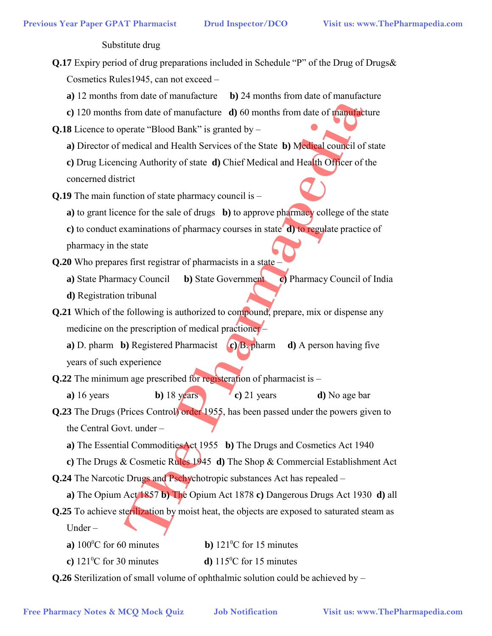Substitute drug

- **Q.17** Expiry period of drug preparations included in Schedule "P" of the Drug of Drugs & Cosmetics Rules1945, can not exceed –
	- **a)** 12 months from date of manufacture **b)** 24 months from date of manufacture
	- **c)** 120 months from date of manufacture **d)** 60 months from date of manufacture
- **Q.18** Licence to operate "Blood Bank" is granted by
	- **a)** Director of medical and Health Services of the State **b)** Medical council of state
	- **c)** Drug Licencing Authority of state **d)** Chief Medical and Health Officer of the concerned district
- **Q.19** The main function of state pharmacy council is
	- **a)** to grant licence for the sale of drugs **b)** to approve pharmacy college of the state
	- **c)** to conduct examinations of pharmacy courses in state **d)** to regulate practice of pharmacy in the state
- **Q.20** Who prepares first registrar of pharmacists in a state –
- **a)** State Pharmacy Council **b)** State Government **c)** Pharmacy Council of India **d)** Registration tribunal Previous Year Paper GPAT Pharmacist **Drud Impector/DCO** Visit us: www.ThePharmapedia.com<br>
2.17 Expiry period of drug preparations included in Schedule <sup>19</sup> of the Drug of Drugo&<br>
Consicties Rules 1945, can not seed.—<br>
a)
	- **Q.21** Which of the following is authorized to compound, prepare, mix or dispense any medicine on the prescription of medical practioner –
		- **a)** D. pharm **b)** Registered Pharmacist **c)** B. pharm **d)** A person having five years of such experience
	- **Q.22** The minimum age prescribed for registeration of pharmacist is
		- **a)** 16 years **b)** 18 years **c)** 21 years **d)** No age bar
	- **Q.23** The Drugs (Prices Control) order 1955, has been passed under the powers given to the Central Govt. under –
		- **a)** The Essential CommoditiesAct 1955 **b)** The Drugs and Cosmetics Act 1940
		- **c)** The Drugs & Cosmetic Rules 1945 **d)** The Shop & Commercial Establishment Act
	- **Q.24** The Narcotic Drugs and Pschychotropic substances Act has repealed
		- **a)** The Opium Act 1857 **b)** The Opium Act 1878 **c)** Dangerous Drugs Act 1930 **d)** all
	- **Q.25** To achieve sterilization by moist heat, the objects are exposed to saturated steam as Under –
		- **a**)  $100^{\circ}$ C for 60 minutes **b**)  $121^{\circ}$ b)  $121^{\circ}$ C for 15 minutes
		- **c**)  $121^{\circ}$ C for 30 minutes **d**)  $115^{\circ}$  $d$ ) 115<sup>o</sup>C for 15 minutes
	- **Q.26** Sterilization of small volume of ophthalmic solution could be achieved by –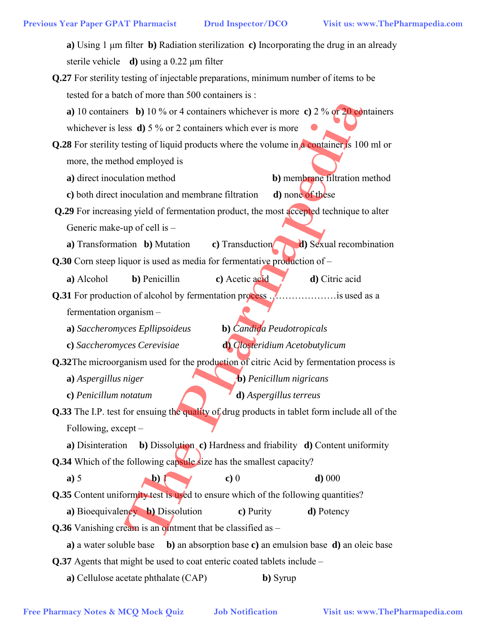| <b>Previous Year Paper GPAT Pharmacist</b>                                                                                                                  | <b>Drud Inspector/DCO</b>                                                                  | Visit us: www.ThePharmapedia.com |  |  |  |
|-------------------------------------------------------------------------------------------------------------------------------------------------------------|--------------------------------------------------------------------------------------------|----------------------------------|--|--|--|
| a) Using 1 µm filter <b>b</b> ) Radiation sterilization <b>c</b> ) Incorporating the drug in an already<br>sterile vehicle $d)$ using a 0.22 $\mu$ m filter |                                                                                            |                                  |  |  |  |
| <b>Q.27</b> For sterility testing of injectable preparations, minimum number of items to be                                                                 |                                                                                            |                                  |  |  |  |
| tested for a batch of more than 500 containers is:                                                                                                          |                                                                                            |                                  |  |  |  |
| a) 10 containers b) 10 % or 4 containers whichever is more c) 2 % or 20 containers                                                                          |                                                                                            |                                  |  |  |  |
| whichever is less $d$ ) 5 % or 2 containers which ever is more                                                                                              |                                                                                            |                                  |  |  |  |
|                                                                                                                                                             | Q.28 For sterility testing of liquid products where the volume in a container is 100 ml or |                                  |  |  |  |
| more, the method employed is                                                                                                                                |                                                                                            |                                  |  |  |  |
| a) direct inoculation method                                                                                                                                |                                                                                            | b) membrane filtration method    |  |  |  |
| c) both direct inoculation and membrane filtration                                                                                                          |                                                                                            | <b>d</b> ) none of these         |  |  |  |
| Q.29 For increasing yield of fermentation product, the most accepted technique to alter                                                                     |                                                                                            |                                  |  |  |  |
| Generic make-up of cell is -                                                                                                                                |                                                                                            |                                  |  |  |  |
| a) Transformation <b>b</b> ) Mutation                                                                                                                       | $\mathbf c$ ) Transduction                                                                 | d) Sexual recombination          |  |  |  |
| Q.30 Corn steep liquor is used as media for fermentative production of -                                                                                    |                                                                                            |                                  |  |  |  |
| <b>b</b> ) Penicillin<br>a) Alcohol                                                                                                                         | c) Acetic acid                                                                             | d) Citric acid                   |  |  |  |
| <b>Q.31</b> For production of alcohol by fermentation process.                                                                                              |                                                                                            | $\ldots$ is used as a            |  |  |  |
| fermentation organism-                                                                                                                                      |                                                                                            |                                  |  |  |  |
| a) Saccheromyces Epllipsoideus                                                                                                                              | <b>b</b> ) Candida Peudotropicals                                                          |                                  |  |  |  |
| c) Saccheromyces Cerevisiae                                                                                                                                 | d) Closteridium Acetobutylicum                                                             |                                  |  |  |  |
| Q.32The microorganism used for the production of citric Acid by fermentation process is                                                                     |                                                                                            |                                  |  |  |  |
| a) Aspergillus niger                                                                                                                                        | <b>b</b> ) Penicillum nigricans                                                            |                                  |  |  |  |
| c) Penicillum notatum                                                                                                                                       | d) Aspergillus terreus                                                                     |                                  |  |  |  |
| Q.33 The I.P. test for ensuing the quality of drug products in tablet form include all of the                                                               |                                                                                            |                                  |  |  |  |
| Following, except –                                                                                                                                         |                                                                                            |                                  |  |  |  |
| a) Disinteration                                                                                                                                            | <b>b</b> ) Dissolution c) Hardness and friability <b>d</b> ) Content uniformity            |                                  |  |  |  |
| <b>Q.34</b> Which of the following capsule size has the smallest capacity?                                                                                  |                                                                                            |                                  |  |  |  |
| a) 5<br>$\mathbf{b}$ ) $\mathbf{l}$                                                                                                                         | c)0                                                                                        | $d)$ 000                         |  |  |  |
| Q.35 Content uniformity test is used to ensure which of the following quantities?                                                                           |                                                                                            |                                  |  |  |  |
| a) Bioequivalency <b>b</b> ) Dissolution                                                                                                                    | c) Purity                                                                                  | <b>d</b> ) Potency               |  |  |  |
| Q.36 Vanishing cream is an ointment that be classified as $-$                                                                                               |                                                                                            |                                  |  |  |  |
| a) a water soluble base                                                                                                                                     | b) an absorption base c) an emulsion base d) an oleic base                                 |                                  |  |  |  |
| <b>Q.37</b> Agents that might be used to coat enteric coated tablets include –                                                                              |                                                                                            |                                  |  |  |  |
| a) Cellulose acetate phthalate (CAP)                                                                                                                        | <b>b</b> ) Syrup                                                                           |                                  |  |  |  |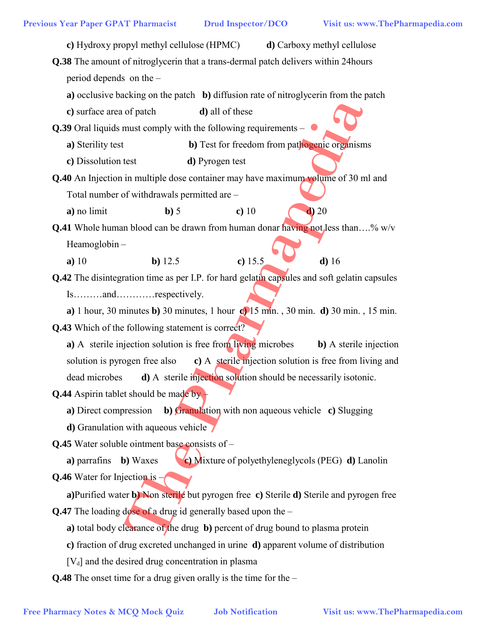**c)** Hydroxy propyl methyl cellulose (HPMC) **d)** Carboxy methyl cellulose **Q.38** The amount of nitroglycerin that a trans-dermal patch delivers within 24hours period depends on the – **a)** occlusive backing on the patch **b)** diffusion rate of nitroglycerin from the patch **c)** surface area of patch **d)** all of these **Q.39** Oral liquids must comply with the following requirements – **a)** Sterility test **b**) Test for freedom from pathogenic organisms **c)** Dissolution test **d)** Pyrogen test **Q.40** An Injection in multiple dose container may have maximum volume of 30 ml and Total number of withdrawals permitted are – **a)** no limit **b)** 5 **c)** 10 **d)** 20 **Q.41** Whole human blood can be drawn from human donar having not less than...% w/v Heamoglobin – **a)** 10 **b)** 12.5 **c)** 15.5 **d)** 16 **Q.42** The disintegration time as per I.P. for hard gelatin capsules and soft gelatin capsules Is………and…………respectively. **a)** 1 hour, 30 minutes **b)** 30 minutes, 1 hour **c)** 15 min. , 30 min. **d)** 30 min. , 15 min. **Q.43** Which of the following statement is correct? **a)** A sterile injection solution is free from living microbes **b)** A sterile injection solution is pyrogen free also **c)** A sterile injection solution is free from living and dead microbes **d**) A sterile injection solution should be necessarily isotonic. **Q.44** Aspirin tablet should be made by – **a)** Direct compression **b)** Granulation with non aqueous vehicle **c)** Slugging **d**) Granulation with aqueous vehicle **Q.45** Water soluble ointment base consists of – **a)** parrafins **b)** Waxes **c)** Mixture of polyethyleneglycols (PEG) **d)** Lanolin **Q.46** Water for Injection is – **a)**Purified water **b)** Non sterile but pyrogen free **c)** Sterile **d)** Sterile and pyrogen free **Q.47** The loading dose of a drug id generally based upon the – **a)** total body clearance of the drug **b)** percent of drug bound to plasma protein **c)** fraction of drug excreted unchanged in urine **d)** apparent volume of distribution  $[V_d]$  and the desired drug concentration in plasma **Q.48** The onset time for a drug given orally is the time for the – Previous Year Paper GPAT Pharmacist **Drud Inspector/DCO** Visit ns www.ThePharmapedia.com<br>
c) Hydesty propyl methyl celluloce (IIMAC) and Celubes predictions<br> **DAS** The amount of numerice with diffusion rate of nuitarity l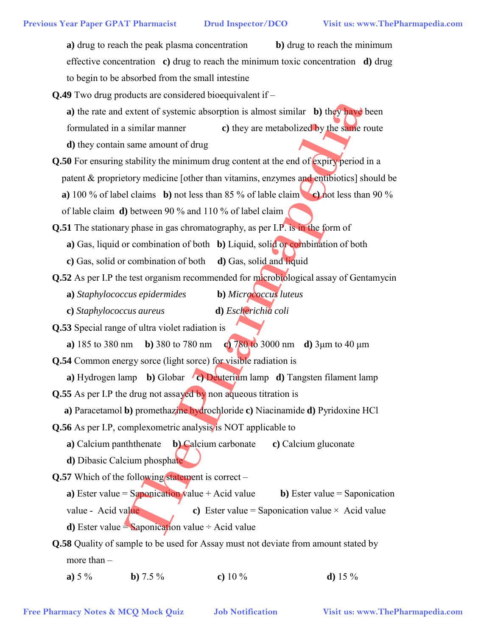| <b>Previous Year Paper GPAT Pharmacist</b><br><b>Drud Inspector/DCO</b><br>Visit us: www.ThePharmapedia.com |
|-------------------------------------------------------------------------------------------------------------|
| a) drug to reach the peak plasma concentration<br>b) drug to reach the minimum                              |
| effective concentration c) drug to reach the minimum toxic concentration d) drug                            |
| to begin to be absorbed from the small intestine                                                            |
| $Q.49$ Two drug products are considered bioequivalent if $-$                                                |
| a) the rate and extent of systemic absorption is almost similar b) they have been                           |
| formulated in a similar manner<br>c) they are metabolized by the same route                                 |
| <b>d</b> ) they contain same amount of drug                                                                 |
| <b>Q.50</b> For ensuring stability the minimum drug content at the end of expiry period in a                |
| patent & proprietory medicine [other than vitamins, enzymes and entibiotics] should be                      |
| a) 100 % of label claims b) not less than 85 % of lable claim c) not less than 90 %                         |
| of lable claim $\bf{d}$ ) between 90 % and 110 % of label claim                                             |
| <b>Q.51</b> The stationary phase in gas chromatography, as per I.P. is in the form of                       |
| a) Gas, liquid or combination of both b) Liquid, solid or combination of both                               |
| c) Gas, solid or combination of both $\bf d$ ) Gas, solid and liquid                                        |
| <b>Q.52</b> As per I.P the test organism recommended for microbiological assay of Gentamycin                |
| <b>b</b> ) Micrococcus luteus<br>a) Staphylococcus epidermides                                              |
| d) Escherichia coli<br>c) Staphylococcus aureus                                                             |
| Q.53 Special range of ultra violet radiation is                                                             |
| c) $780$ to 3000 nm d) 3 $\mu$ m to 40 $\mu$ m<br><b>b</b> ) 380 to 780 nm<br><b>a</b> ) 185 to 380 nm      |
| <b>Q.54</b> Common energy sorce (light sorce) for visible radiation is                                      |
| a) Hydrogen lamp b) Globar (c) Deuterium lamp d) Tangsten filament lamp                                     |
| Q.55 As per I.P the drug not assayed by non aqueous titration is                                            |
| a) Paracetamol b) promethazine hydrochloride c) Niacinamide d) Pyridoxine HCl                               |
| <b>Q.56</b> As per I.P, complexometric analysis is NOT applicable to                                        |
| a) Calcium panth then ate b) Calcium carbonate<br>c) Calcium gluconate                                      |
| d) Dibasic Calcium phosphate                                                                                |
| Q.57 Which of the following statement is correct $-$                                                        |
| a) Ester value = Saponication value + Acid value<br><b>b</b> ) Ester value = Saponication                   |
| value - Acid value<br>c) Ester value = Saponication value $\times$ Acid value                               |
| <b>d</b> ) Ester value = Saponication value $\div$ Acid value                                               |
| Q.58 Quality of sample to be used for Assay must not deviate from amount stated by                          |
| more than -                                                                                                 |
| a) $5\%$<br><b>b</b> ) 7.5 $\%$<br>c) 10 $\%$<br><b>d</b> ) 15 $\%$                                         |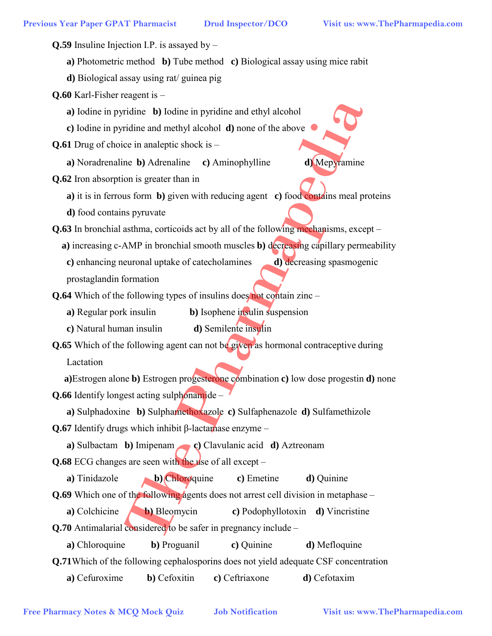**Q.59** Insuline Injection I.P. is assayed by – **a)** Photometric method **b)** Tube method **c)** Biological assay using mice rabit **d)** Biological assay using rat/ guinea pig **Q.60** Karl-Fisher reagent is – **a)** Iodine in pyridine **b)** Iodine in pyridine and ethyl alcohol **c)** Iodine in pyridine and methyl alcohol **d)** none of the above **Q.61** Drug of choice in analeptic shock is – **a)** Noradrenaline **b)** Adrenaline **c)** Aminophylline **d)** Mepyramine **Q.62** Iron absorption is greater than in **a)** it is in ferrous form **b)** given with reducing agent **c)** food contains meal proteins **d)** food contains pyruvate **Q.63** In bronchial asthma, corticoids act by all of the following mechanisms, except – **a)** increasing c-AMP in bronchial smooth muscles **b)** decreasing capillary permeability **c**) enhancing neuronal uptake of catecholamines **d**) decreasing spasmogenic prostaglandin formation **Q.64** Which of the following types of insulins does not contain zinc – **a)** Regular pork insulin **b)** Isophene insulin suspension **c)** Natural human insulin **d)** Semilente insulin **Q.65** Which of the following agent can not be given as hormonal contraceptive during Lactation **a)**Estrogen alone **b)** Estrogen progesterone combination **c)** low dose progestin **d)** none **Q.66** Identify longest acting sulphonamide – **a)** Sulphadoxine **b)** Sulphamethoxazole **c)** Sulfaphenazole **d)** Sulfamethizole **Q.67** Identify drugs which inhibit β-lactamase enzyme – **a)** Sulbactam **b)** Imipenam **c)** Clavulanic acid **d)** Aztreonam **Q.68** ECG changes are seen with the use of all except – **a)** Tinidazole **b)** Chloroquine **c)** Emetine **d)** Quinine **Q.69** Which one of the following agents does not arrest cell division in metaphase – **a)** Colchicine **b)** Bleomycin **c)** Podophyllotoxin **d)** Vincristine **Q.70** Antimalarial considered to be safer in pregnancy include – **a)** Chloroquine **b)** Proguanil **c)** Quinine **d)** Mefloquine **Q.71**Which of the following cephalosporins does not yield adequate CSF concentration **a)** Cefuroxime **b)** Cefoxitin **c)** Ceftriaxone **d)** Cefotaxim Previous Year Paper GPAT Pharmacist Drud Inspector/DCO Visit us: www.ThePharmapedia.com<br> **Q.5** Insular layies in all previous of Philosopical assay using misc mixt<br> **a)** Bhunometric method b) Tube method e) Biological assa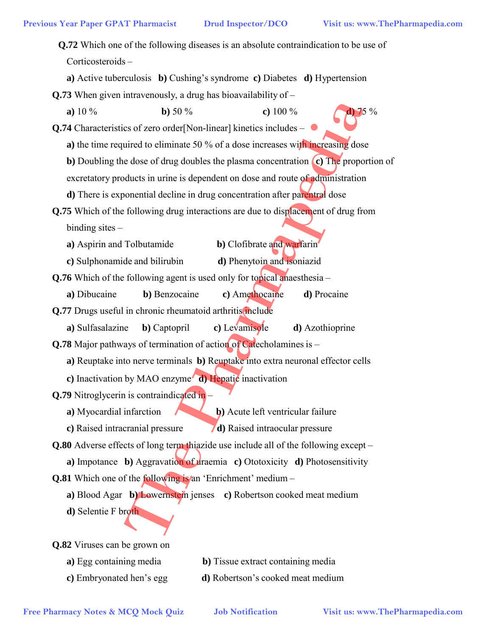| <b>Previous Year Paper GPAT Pharmacist</b>                                                                | <b>Drud Inspector/DCO</b>                  | Visit us: www.ThePharmapedia.com |
|-----------------------------------------------------------------------------------------------------------|--------------------------------------------|----------------------------------|
| Q.72 Which one of the following diseases is an absolute contraindication to be use of<br>Corticosteroids- |                                            |                                  |
| a) Active tuberculosis b) Cushing's syndrome c) Diabetes d) Hypertension                                  |                                            |                                  |
| <b>Q.73</b> When given intravenously, a drug has bioavailability of $-$                                   |                                            |                                  |
| a) 10 $%$<br>b) 50 $%$                                                                                    | c) $100\%$                                 | $75\%$                           |
| <b>Q.74</b> Characteristics of zero order [Non-linear] kinetics includes –                                |                                            |                                  |
| a) the time required to eliminate 50 % of a dose increases with increasing dose                           |                                            |                                  |
| b) Doubling the dose of drug doubles the plasma concentration $(c)$ The proportion of                     |                                            |                                  |
| excretatory products in urine is dependent on dose and route of administration                            |                                            |                                  |
| <b>d</b> ) There is exponential decline in drug concentration after parentral dose                        |                                            |                                  |
| Q.75 Which of the following drug interactions are due to displacement of drug from                        |                                            |                                  |
| binding sites $-$                                                                                         |                                            |                                  |
| a) Aspirin and Tolbutamide                                                                                | b) Clofibrate and warfarin                 |                                  |
| c) Sulphonamide and bilirubin                                                                             | d) Phenytoin and isoniazid                 |                                  |
| <b>Q.76</b> Which of the following agent is used only for topical anaesthesia –                           |                                            |                                  |
| a) Dibucaine<br>b) Benzocaine                                                                             | c) Amethocaine                             | d) Procaine                      |
| Q.77 Drugs useful in chronic rheumatoid arthritis include                                                 |                                            |                                  |
| a) Sulfasalazine<br><b>b</b> ) Captopril                                                                  | c) Levamisole                              | d) Azothioprine                  |
| Q.78 Major pathways of termination of action of Catecholamines is -                                       |                                            |                                  |
| a) Reuptake into nerve terminals <b>b</b> ) Reuptake into extra neuronal effector cells                   |                                            |                                  |
| c) Inactivation by MAO enzyme (d) Hepatic inactivation                                                    |                                            |                                  |
| Q.79 Nitroglycerin is contraindicated in-                                                                 |                                            |                                  |
| a) Myocardial infarction                                                                                  | <b>b</b> ) Acute left ventricular failure  |                                  |
| c) Raised intracranial pressure                                                                           | d) Raised intraocular pressure             |                                  |
| <b>Q.80</b> Adverse effects of long term thiazide use include all of the following except –               |                                            |                                  |
| a) Impotance b) Aggravation of uraemia c) Ototoxicity d) Photosensitivity                                 |                                            |                                  |
| <b>Q.81</b> Which one of the following is an 'Enrichment' medium -                                        |                                            |                                  |
| a) Blood Agar b) Lowernstein jenses                                                                       |                                            | c) Robertson cooked meat medium  |
| d) Selentie F broth                                                                                       |                                            |                                  |
| Q.82 Viruses can be grown on                                                                              |                                            |                                  |
| a) Egg containing media                                                                                   | <b>b</b> ) Tissue extract containing media |                                  |
| c) Embryonated hen's egg                                                                                  | d) Robertson's cooked meat medium          |                                  |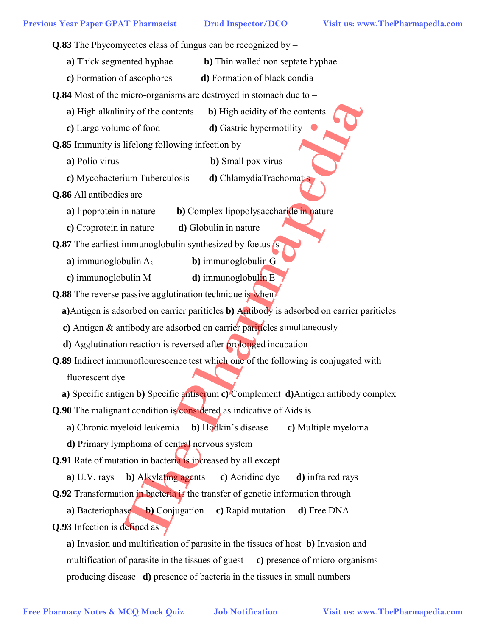- **Q.83** The Phycomycetes class of fungus can be recognized by
	- **a)** Thick segmented hyphae **b)** Thin walled non septate hyphae
	- **c)** Formation of ascophores **d)** Formation of black condia

**Q.84** Most of the micro-organisms are destroyed in stomach due to –

- **a)** High alkalinity of the contents **b)** High acidity of the contents
- **c)** Large volume of food **d)** Gastric hypermotility
- **Q.85** Immunity is lifelong following infection by
	-
	- **a**) Polio virus **b**) Small pox virus
	- **c)** Mycobacterium Tuberculosis **d)** ChlamydiaTrachomatis
- **Q.86** All antibodies are
	- **a)** lipoprotein in nature **b)** Complex lipopolysaccharide in nature
	- **c)** Croprotein in nature **d)** Globulin in nature
- **Q.87** The earliest immunoglobulin synthesized by foetus is
	- **a**) immunoglobulin  $A_2$  **b**) immunoglobulin G
	- **c)** immunoglobulin M **d)** immunoglobulin E
- **Q.88** The reverse passive agglutination technique is when  $\overline{A}$ 
	- **a)**Antigen is adsorbed on carrier pariticles **b)** Antibody is adsorbed on carrier pariticles
	- **c)** Antigen & antibody are adsorbed on carrier pariticles simultaneously
	- **d)** Agglutination reaction is reversed after prolonged incubation
- **Q.89** Indirect immunoflourescence test which one of the following is conjugated with fluorescent dye – Previous Year Paper GPAT Pharmacist **Drud Inspector/DCO** Visit us: www.ThePharmapedia.com<br> **(3)** The Sc second Taxophens in different contextors and *P* Formulation of the Conduct of the Conduct of the Conduction of the C
	- **a)** Specific antigen **b)** Specific antiserum **c)** Complement **d)**Antigen antibody complex
	- **Q.90** The malignant condition is considered as indicative of Aids is
		- **a)** Chronic myeloid leukemia **b)** Hodkin's disease **c)** Multiple myeloma
		- **d)** Primary lymphoma of central nervous system
	- **Q.91** Rate of mutation in bacteria is increased by all except –
	- **a)** U.V. rays **b)** Alkylating agents **c)** Acridine dye **d)** infra red rays
	- **Q.92** Transformation in bacteria is the transfer of genetic information through –
	- **a)** Bacteriophase **b)** Conjugation **c)** Rapid mutation **d)** Free DNA **Q.93** Infection is defined as
		- **a)** Invasion and multification of parasite in the tissues of host **b)** Invasion and multification of parasite in the tissues of guest **c)** presence of micro-organisms producing disease **d)** presence of bacteria in the tissues in small numbers